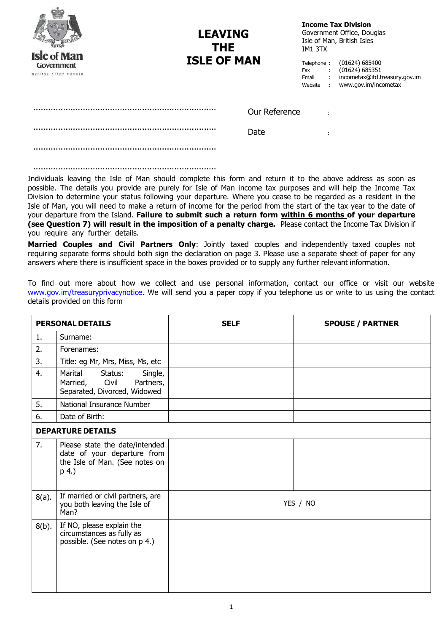| <b>Isle of Man</b><br>Government<br>Reiltys Ellan Vannin | <b>LEAVING</b><br><b>THE</b><br><b>ISLE OF MAN</b> |               | IM1 3TX<br>Telephone:<br>Fax<br>Email<br>Website | $\sim$<br>$\mathcal{L}$<br>$\mathcal{L}$ | <b>Income Tax Division</b><br>Government Office, Douglas<br>Isle of Man, British Isles<br>(01624) 685400<br>(01624) 685351<br>incometax@itd.treasury.gov.im<br>www.gov.im/incometax |
|----------------------------------------------------------|----------------------------------------------------|---------------|--------------------------------------------------|------------------------------------------|-------------------------------------------------------------------------------------------------------------------------------------------------------------------------------------|
|                                                          |                                                    | Our Reference |                                                  |                                          |                                                                                                                                                                                     |
|                                                          |                                                    | Date          |                                                  | ÷                                        |                                                                                                                                                                                     |
|                                                          |                                                    |               |                                                  |                                          |                                                                                                                                                                                     |
|                                                          |                                                    |               |                                                  |                                          |                                                                                                                                                                                     |

Individuals leaving the Isle of Man should complete this form and return it to the above address as soon as possible. The details you provide are purely for Isle of Man income tax purposes and will help the Income Tax Division to determine your status following your departure. Where you cease to be regarded as a resident in the Isle of Man, you will need to make a return of income for the period from the start of the tax year to the date of your departure from the Island. **Failure to submit such a return form within 6 months of your departure (see Question 7) will result in the imposition of a penalty charge.** Please contact the Income Tax Division if you require any further details.

**Married Couples and Civil Partners Only**: Jointly taxed couples and independently taxed couples not requiring separate forms should both sign the declaration on page 3. Please use a separate sheet of paper for any answers where there is insufficient space in the boxes provided or to supply any further relevant information.

To find out more about how we collect and use personal information, contact our office or visit our website [www.gov.im/treasuryprivacynotice.](http://www.gov.im/treasuryprivacynotice) We will send you a paper copy if you telephone us or write to us using the contact details provided on this form

|          | <b>PERSONAL DETAILS</b>                                                                                  | <b>SELF</b> | <b>SPOUSE / PARTNER</b> |
|----------|----------------------------------------------------------------------------------------------------------|-------------|-------------------------|
| 1.       | Surname:                                                                                                 |             |                         |
| 2.       | Forenames:                                                                                               |             |                         |
| 3.       | Title: eg Mr, Mrs, Miss, Ms, etc                                                                         |             |                         |
| 4.       | Marital<br>Status:<br>Single,<br>Civil<br>Married,<br>Partners,<br>Separated, Divorced, Widowed          |             |                         |
| 5.       | National Insurance Number                                                                                |             |                         |
| 6.       | Date of Birth:                                                                                           |             |                         |
|          | <b>DEPARTURE DETAILS</b>                                                                                 |             |                         |
| 7.       | Please state the date/intended<br>date of your departure from<br>the Isle of Man. (See notes on<br>p 4.) |             |                         |
| $8(a)$ . | If married or civil partners, are<br>you both leaving the Isle of<br>Man?                                |             | YES / NO                |
| $8(b)$ . | If NO, please explain the<br>circumstances as fully as<br>possible. (See notes on p 4.)                  |             |                         |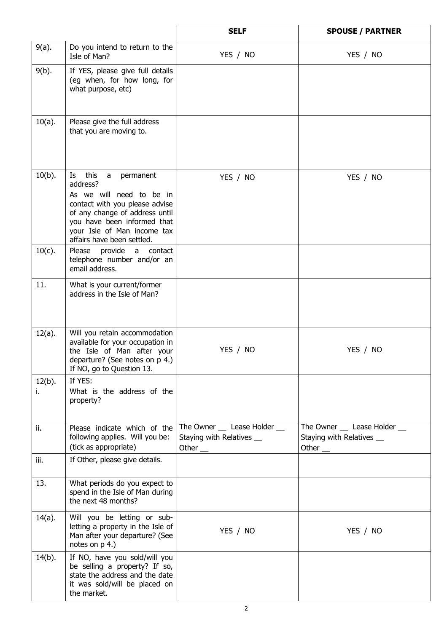|                 |                                                                                                                                                                                                                                          | <b>SELF</b>                                                            | <b>SPOUSE / PARTNER</b>                                                  |
|-----------------|------------------------------------------------------------------------------------------------------------------------------------------------------------------------------------------------------------------------------------------|------------------------------------------------------------------------|--------------------------------------------------------------------------|
| $9(a)$ .        | Do you intend to return to the<br>Isle of Man?                                                                                                                                                                                           | YES / NO                                                               | YES / NO                                                                 |
| $9(b)$ .        | If YES, please give full details<br>(eg when, for how long, for<br>what purpose, etc)                                                                                                                                                    |                                                                        |                                                                          |
| $10(a)$ .       | Please give the full address<br>that you are moving to.                                                                                                                                                                                  |                                                                        |                                                                          |
| $10(b)$ .       | this<br>Is a<br>a a<br>permanent<br>address?<br>As we will need to be in<br>contact with you please advise<br>of any change of address until<br>you have been informed that<br>your Isle of Man income tax<br>affairs have been settled. | YES / NO                                                               | YES / NO                                                                 |
| $10(c)$ .       | provide<br>Please<br>a contact<br>telephone number and/or an<br>email address.                                                                                                                                                           |                                                                        |                                                                          |
| 11.             | What is your current/former<br>address in the Isle of Man?                                                                                                                                                                               |                                                                        |                                                                          |
| $12(a)$ .       | Will you retain accommodation<br>available for your occupation in<br>the Isle of Man after your<br>departure? (See notes on p 4.)<br>If NO, go to Question 13.                                                                           | YES / NO                                                               | YES / NO                                                                 |
| $12(b)$ .<br>i. | If YES:<br>What is the address of the<br>property?                                                                                                                                                                                       |                                                                        |                                                                          |
| ii.             | Please indicate which of the<br>following applies. Will you be:<br>(tick as appropriate)                                                                                                                                                 | The Owner __ Lease Holder __<br>Staying with Relatives _<br>Other $\_$ | The Owner __ Lease Holder __<br>Staying with Relatives _<br>Other $\_\_$ |
| iii.            | If Other, please give details.                                                                                                                                                                                                           |                                                                        |                                                                          |
| 13.             | What periods do you expect to<br>spend in the Isle of Man during<br>the next 48 months?                                                                                                                                                  |                                                                        |                                                                          |
| 14(a).          | Will you be letting or sub-<br>letting a property in the Isle of<br>Man after your departure? (See<br>notes on p 4.)                                                                                                                     | YES / NO                                                               | YES / NO                                                                 |
| $14(b)$ .       | If NO, have you sold/will you<br>be selling a property? If so,<br>state the address and the date<br>it was sold/will be placed on<br>the market.                                                                                         |                                                                        |                                                                          |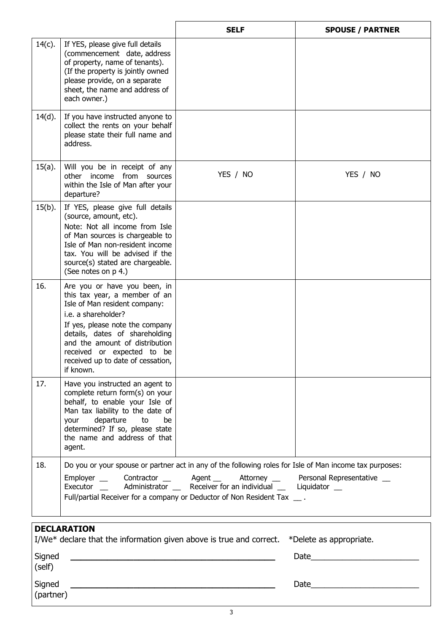|           |                                                                                                                                                                                                                                                                                                              | <b>SELF</b>                                                                                                                                                                                                                                                                                                                                  | <b>SPOUSE / PARTNER</b> |
|-----------|--------------------------------------------------------------------------------------------------------------------------------------------------------------------------------------------------------------------------------------------------------------------------------------------------------------|----------------------------------------------------------------------------------------------------------------------------------------------------------------------------------------------------------------------------------------------------------------------------------------------------------------------------------------------|-------------------------|
| $14(c)$ . | If YES, please give full details<br>(commencement date, address<br>of property, name of tenants).<br>(If the property is jointly owned<br>please provide, on a separate<br>sheet, the name and address of<br>each owner.)                                                                                    |                                                                                                                                                                                                                                                                                                                                              |                         |
| $14(d)$ . | If you have instructed anyone to<br>collect the rents on your behalf<br>please state their full name and<br>address.                                                                                                                                                                                         |                                                                                                                                                                                                                                                                                                                                              |                         |
| 15(a).    | Will you be in receipt of any<br>other income from sources<br>within the Isle of Man after your<br>departure?                                                                                                                                                                                                | YES / NO                                                                                                                                                                                                                                                                                                                                     | YES / NO                |
| $15(b)$ . | If YES, please give full details<br>(source, amount, etc).<br>Note: Not all income from Isle<br>of Man sources is chargeable to<br>Isle of Man non-resident income<br>tax. You will be advised if the<br>source(s) stated are chargeable.<br>(See notes on p 4.)                                             |                                                                                                                                                                                                                                                                                                                                              |                         |
| 16.       | Are you or have you been, in<br>this tax year, a member of an<br>Isle of Man resident company:<br>i.e. a shareholder?<br>If yes, please note the company<br>details, dates of shareholding<br>and the amount of distribution<br>received or expected to be<br>received up to date of cessation,<br>if known. |                                                                                                                                                                                                                                                                                                                                              |                         |
| 17.       | Have you instructed an agent to<br>complete return form(s) on your<br>behalf, to enable your Isle of<br>Man tax liability to the date of<br>departure<br>your<br>to<br>be<br>determined? If so, please state<br>the name and address of that<br>agent.                                                       |                                                                                                                                                                                                                                                                                                                                              |                         |
| 18.       |                                                                                                                                                                                                                                                                                                              | Do you or your spouse or partner act in any of the following roles for Isle of Man income tax purposes:<br>Employer __ Contractor __ Agent __ Attorney __ Personal Representative __<br>Executor __ Administrator __ Receiver for an individual __ Liquidator __<br>Full/partial Receiver for a company or Deductor of Non Resident Tax __ . |                         |
|           | <b>DECLARATION</b>                                                                                                                                                                                                                                                                                           |                                                                                                                                                                                                                                                                                                                                              |                         |
|           |                                                                                                                                                                                                                                                                                                              | I/We $*$ declare that the information given above is true and correct. $*$ Delete as appropriate.                                                                                                                                                                                                                                            |                         |
| Signed    |                                                                                                                                                                                                                                                                                                              |                                                                                                                                                                                                                                                                                                                                              | Date                    |

Signed

(partner)

**\_\_\_\_\_\_\_\_\_\_\_\_\_\_\_\_\_\_\_\_\_\_\_\_\_\_\_\_\_\_\_\_\_\_\_\_\_\_\_** Date\_\_\_\_\_\_\_\_\_\_\_\_\_\_\_\_\_\_\_\_\_\_\_\_